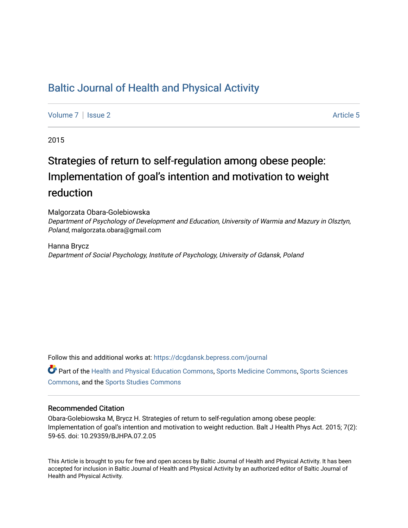# [Baltic Journal of Health and Physical Activity](https://dcgdansk.bepress.com/journal)

[Volume 7](https://dcgdansk.bepress.com/journal/vol7) | [Issue 2](https://dcgdansk.bepress.com/journal/vol7/iss2) Article 5

2015

# Strategies of return to self-regulation among obese people: Implementation of goal's intention and motivation to weight reduction

Malgorzata Obara-Golebiowska

Department of Psychology of Development and Education, University of Warmia and Mazury in Olsztyn, Poland, malgorzata.obara@gmail.com

Hanna Brycz Department of Social Psychology, Institute of Psychology, University of Gdansk, Poland

Follow this and additional works at: [https://dcgdansk.bepress.com/journal](https://dcgdansk.bepress.com/journal?utm_source=dcgdansk.bepress.com%2Fjournal%2Fvol7%2Fiss2%2F5&utm_medium=PDF&utm_campaign=PDFCoverPages)

Part of the [Health and Physical Education Commons](http://network.bepress.com/hgg/discipline/1327?utm_source=dcgdansk.bepress.com%2Fjournal%2Fvol7%2Fiss2%2F5&utm_medium=PDF&utm_campaign=PDFCoverPages), [Sports Medicine Commons,](http://network.bepress.com/hgg/discipline/1331?utm_source=dcgdansk.bepress.com%2Fjournal%2Fvol7%2Fiss2%2F5&utm_medium=PDF&utm_campaign=PDFCoverPages) [Sports Sciences](http://network.bepress.com/hgg/discipline/759?utm_source=dcgdansk.bepress.com%2Fjournal%2Fvol7%2Fiss2%2F5&utm_medium=PDF&utm_campaign=PDFCoverPages) [Commons](http://network.bepress.com/hgg/discipline/759?utm_source=dcgdansk.bepress.com%2Fjournal%2Fvol7%2Fiss2%2F5&utm_medium=PDF&utm_campaign=PDFCoverPages), and the [Sports Studies Commons](http://network.bepress.com/hgg/discipline/1198?utm_source=dcgdansk.bepress.com%2Fjournal%2Fvol7%2Fiss2%2F5&utm_medium=PDF&utm_campaign=PDFCoverPages) 

#### Recommended Citation

Obara-Golebiowska M, Brycz H. Strategies of return to self-regulation among obese people: Implementation of goal's intention and motivation to weight reduction. Balt J Health Phys Act. 2015; 7(2): 59-65. doi: 10.29359/BJHPA.07.2.05

This Article is brought to you for free and open access by Baltic Journal of Health and Physical Activity. It has been accepted for inclusion in Baltic Journal of Health and Physical Activity by an authorized editor of Baltic Journal of Health and Physical Activity.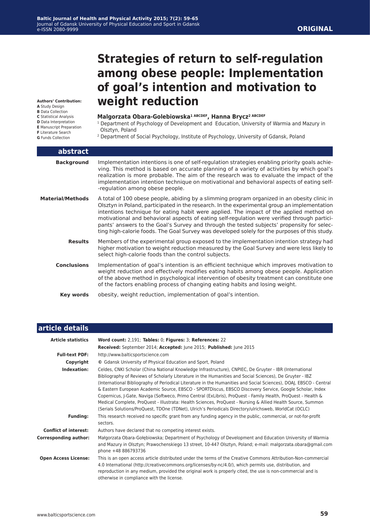# **Strategies of return to self-regulation among obese people: Implementation of goal's intention and motivation to weight reduction**

**Authors' Contribution:**

- **A** Study Design
- **B** Data Collection
- **C** Statistical Analysis
- **D** Data Interpretation
- **E** Manuscript Preparation **F** Literature Search

**G** Funds Collection

#### **Malgorzata Obara-Golebiowska1 ABCDEF, Hanna Brycz2 ABCDEF**

- <sup>1</sup> Department of Psychology of Development and Education, University of Warmia and Mazury in Olsztyn, Poland
- 2 Department of Social Psychology, Institute of Psychology, University of Gdansk, Poland

| abstract                |                                                                                                                                                                                                                                                                                                                                                                                                                                                                                                                                                                                        |
|-------------------------|----------------------------------------------------------------------------------------------------------------------------------------------------------------------------------------------------------------------------------------------------------------------------------------------------------------------------------------------------------------------------------------------------------------------------------------------------------------------------------------------------------------------------------------------------------------------------------------|
| <b>Background</b>       | Implementation intentions is one of self-regulation strategies enabling priority goals achie-<br>ving. This method is based on accurate planning of a variety of activities by which goal's<br>realization is more probable. The aim of the research was to evaluate the impact of the<br>implementation intention technique on motivational and behavioral aspects of eating self-<br>-regulation among obese people.                                                                                                                                                                 |
| <b>Material/Methods</b> | A total of 100 obese people, abiding by a slimming program organized in an obesity clinic in<br>Olsztyn in Poland, participated in the research. In the experimental group an implementation<br>intentions technique for eating habit were applied. The impact of the applied method on<br>motivational and behavioral aspects of eating self-regulation were verified through partici-<br>pants' answers to the Goal's Survey and through the tested subjects' propensity for selec-<br>ting high-calorie foods. The Goal Survey was developed solely for the purposes of this study. |
| <b>Results</b>          | Members of the experimental group exposed to the implementation intention strategy had<br>higher motivation to weight reduction measured by the Goal Survey and were less likely to<br>select high-calorie foods than the control subjects.                                                                                                                                                                                                                                                                                                                                            |
| <b>Conclusions</b>      | Implementation of goal's intention is an efficient technique which improves motivation to<br>weight reduction and effectively modifies eating habits among obese people. Application<br>of the above method in psychological intervention of obesity treatment can constitute one<br>of the factors enabling process of changing eating habits and losing weight.                                                                                                                                                                                                                      |
| Key words               | obesity, weight reduction, implementation of goal's intention.                                                                                                                                                                                                                                                                                                                                                                                                                                                                                                                         |

| article details              |                                                                                                                                                                                                                                                                                                                                                                                                                                                                                                                                                                                                                                                                                                                                                                                                |
|------------------------------|------------------------------------------------------------------------------------------------------------------------------------------------------------------------------------------------------------------------------------------------------------------------------------------------------------------------------------------------------------------------------------------------------------------------------------------------------------------------------------------------------------------------------------------------------------------------------------------------------------------------------------------------------------------------------------------------------------------------------------------------------------------------------------------------|
| <b>Article statistics</b>    | Word count: 2,191; Tables: 0; Figures: 3; References: 22                                                                                                                                                                                                                                                                                                                                                                                                                                                                                                                                                                                                                                                                                                                                       |
|                              | Received: September 2014; Accepted: June 2015; Published: June 2015                                                                                                                                                                                                                                                                                                                                                                                                                                                                                                                                                                                                                                                                                                                            |
| <b>Full-text PDF:</b>        | http://www.balticsportscience.com                                                                                                                                                                                                                                                                                                                                                                                                                                                                                                                                                                                                                                                                                                                                                              |
| Copyright                    | © Gdansk University of Physical Education and Sport, Poland                                                                                                                                                                                                                                                                                                                                                                                                                                                                                                                                                                                                                                                                                                                                    |
| Indexation:                  | Celdes, CNKI Scholar (China National Knowledge Infrastructure), CNPIEC, De Gruyter - IBR (International<br>Bibliography of Reviews of Scholarly Literature in the Humanities and Social Sciences), De Gruyter - IBZ<br>(International Bibliography of Periodical Literature in the Humanities and Social Sciences), DOAJ, EBSCO - Central<br>& Eastern European Academic Source, EBSCO - SPORTDiscus, EBSCO Discovery Service, Google Scholar, Index<br>Copernicus, J-Gate, Naviga (Softweco, Primo Central (ExLibris), ProQuest - Family Health, ProQuest - Health &<br>Medical Complete, ProQuest - Illustrata: Health Sciences, ProQuest - Nursing & Allied Health Source, Summon<br>(Serials Solutions/ProQuest, TDOne (TDNet), Ulrich's Periodicals Directory/ulrichsweb, WorldCat (OCLC) |
| <b>Funding:</b>              | This research received no specific grant from any funding agency in the public, commercial, or not-for-profit<br>sectors.                                                                                                                                                                                                                                                                                                                                                                                                                                                                                                                                                                                                                                                                      |
| <b>Conflict of interest:</b> | Authors have declared that no competing interest exists.                                                                                                                                                                                                                                                                                                                                                                                                                                                                                                                                                                                                                                                                                                                                       |
| <b>Corresponding author:</b> | Małgorzata Obara-Gołębiowska; Department of Psychology of Development and Education University of Warmia<br>and Mazury in Olsztyn; Prawochenskiego 13 street, 10-447 Olsztyn, Poland; e-mail: malgorzata.obara@gmail.com<br>phone +48 886793736                                                                                                                                                                                                                                                                                                                                                                                                                                                                                                                                                |
| <b>Open Access License:</b>  | This is an open access article distributed under the terms of the Creative Commons Attribution-Non-commercial<br>4.0 International (http://creativecommons.org/licenses/by-nc/4.0/), which permits use, distribution, and<br>reproduction in any medium, provided the original work is properly cited, the use is non-commercial and is<br>otherwise in compliance with the license.                                                                                                                                                                                                                                                                                                                                                                                                           |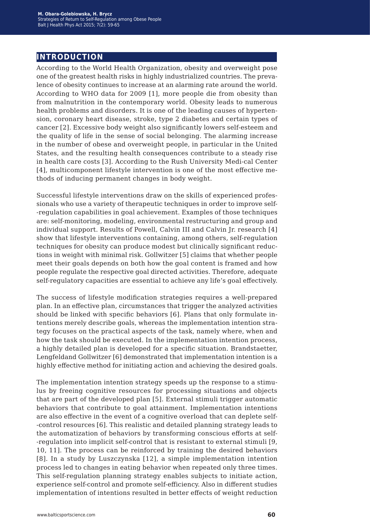# **introduction**

According to the World Health Organization, obesity and overweight pose one of the greatest health risks in highly industrialized countries. The prevalence of obesity continues to increase at an alarming rate around the world. According to WHO data for 2009 [1], more people die from obesity than from malnutrition in the contemporary world. Obesity leads to numerous health problems and disorders. It is one of the leading causes of hypertension, coronary heart disease, stroke, type 2 diabetes and certain types of cancer [2]. Excessive body weight also significantly lowers self-esteem and the quality of life in the sense of social belonging. The alarming increase in the number of obese and overweight people, in particular in the United States, and the resulting health consequences contribute to a steady rise in health care costs [3]. According to the Rush University Medi-cal Center [4], multicomponent lifestyle intervention is one of the most effective methods of inducing permanent changes in body weight.

Successful lifestyle interventions draw on the skills of experienced professionals who use a variety of therapeutic techniques in order to improve self- -regulation capabilities in goal achievement. Examples of those techniques are: self-monitoring, modeling, environmental restructuring and group and individual support. Results of Powell, Calvin III and Calvin Jr. research [4] show that lifestyle interventions containing, among others, self-regulation techniques for obesity can produce modest but clinically significant reductions in weight with minimal risk. Gollwitzer [5] claims that whether people meet their goals depends on both how the goal content is framed and how people regulate the respective goal directed activities. Therefore, adequate self-regulatory capacities are essential to achieve any life's goal effectively.

The success of lifestyle modification strategies requires a well-prepared plan. In an effective plan, circumstances that trigger the analyzed activities should be linked with specific behaviors [6]. Plans that only formulate intentions merely describe goals, whereas the implementation intention strategy focuses on the practical aspects of the task, namely where, when and how the task should be executed. In the implementation intention process, a highly detailed plan is developed for a specific situation. Brandstaetter, Lengfeldand Gollwitzer [6] demonstrated that implementation intention is a highly effective method for initiating action and achieving the desired goals.

The implementation intention strategy speeds up the response to a stimulus by freeing cognitive resources for processing situations and objects that are part of the developed plan [5]. External stimuli trigger automatic behaviors that contribute to goal attainment. Implementation intentions are also effective in the event of a cognitive overload that can deplete self- -control resources [6]. This realistic and detailed planning strategy leads to the automatization of behaviors by transforming conscious efforts at self- -regulation into implicit self-control that is resistant to external stimuli [9, 10, 11]. The process can be reinforced by training the desired behaviors [8]. In a study by Luszczynska [12], a simple implementation intention process led to changes in eating behavior when repeated only three times. This self-regulation planning strategy enables subjects to initiate action, experience self-control and promote self-efficiency. Also in different studies implementation of intentions resulted in better effects of weight reduction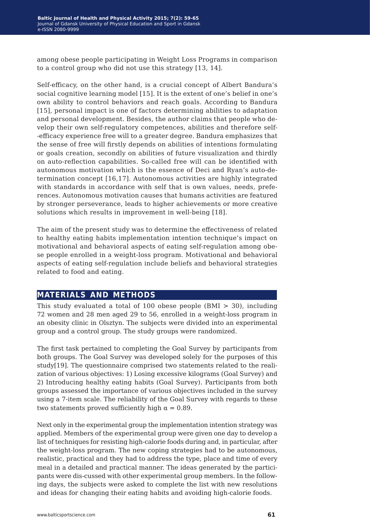among obese people participating in Weight Loss Programs in comparison to a control group who did not use this strategy [13, 14].

Self-efficacy, on the other hand, is a crucial concept of Albert Bandura's social cognitive learning model [15]. It is the extent of one's belief in one's own ability to control behaviors and reach goals. According to Bandura [15], personal impact is one of factors determining abilities to adaptation and personal development. Besides, the author claims that people who develop their own self-regulatory competences, abilities and therefore self- -efficacy experience free will to a greater degree. Bandura emphasizes that the sense of free will firstly depends on abilities of intentions formulating or goals creation, secondly on abilities of future visualization and thirdly on auto-reflection capabilities. So-called free will can be identified with autonomous motivation which is the essence of Deci and Ryan's auto-determination concept [16,17]. Autonomous activities are highly integrated with standards in accordance with self that is own values, needs, preferences. Autonomous motivation causes that humans activities are featured by stronger perseverance, leads to higher achievements or more creative solutions which results in improvement in well-being [18].

The aim of the present study was to determine the effectiveness of related to healthy eating habits implementation intention technique's impact on motivational and behavioral aspects of eating self-regulation among obese people enrolled in a weight-loss program. Motivational and behavioral aspects of eating self-regulation include beliefs and behavioral strategies related to food and eating.

### **materials and methods**

This study evaluated a total of 100 obese people  $(BMI > 30)$ , including 72 women and 28 men aged 29 to 56, enrolled in a weight-loss program in an obesity clinic in Olsztyn. The subjects were divided into an experimental group and a control group. The study groups were randomized.

The first task pertained to completing the Goal Survey by participants from both groups. The Goal Survey was developed solely for the purposes of this study[19]. The questionnaire comprised two statements related to the realization of various objectives: 1) Losing excessive kilograms (Goal Survey) and 2) Introducing healthy eating habits (Goal Survey). Participants from both groups assessed the importance of various objectives included in the survey using a 7-item scale. The reliability of the Goal Survey with regards to these two statements proved sufficiently high  $\alpha = 0.89$ .

Next only in the experimental group the implementation intention strategy was applied. Members of the experimental group were given one day to develop a list of techniques for resisting high-calorie foods during and, in particular, after the weight-loss program. The new coping strategies had to be autonomous, realistic, practical and they had to address the type, place and time of every meal in a detailed and practical manner. The ideas generated by the participants were dis-cussed with other experimental group members. In the following days, the subjects were asked to complete the list with new resolutions and ideas for changing their eating habits and avoiding high-calorie foods.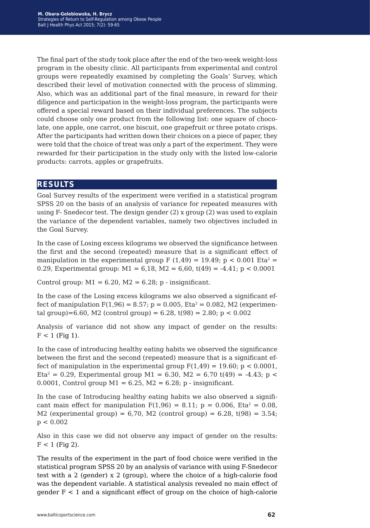The final part of the study took place after the end of the two-week weight-loss program in the obesity clinic. All participants from experimental and control groups were repeatedly examined by completing the Goals' Survey, which described their level of motivation connected with the process of slimming. Also, which was an additional part of the final measure, in reward for their diligence and participation in the weight-loss program, the participants were offered a special reward based on their individual preferences. The subjects could choose only one product from the following list: one square of chocolate, one apple, one carrot, one biscuit, one grapefruit or three potato crisps. After the participants had written down their choices on a piece of paper, they were told that the choice of treat was only a part of the experiment. They were rewarded for their participation in the study only with the listed low-calorie products: carrots, apples or grapefruits.

#### **results**

Goal Survey results of the experiment were verified in a statistical program SPSS 20 on the basis of an analysis of variance for repeated measures with using F- Snedecor test. The design gender (2) x group (2) was used to explain the variance of the dependent variables, namely two objectives included in the Goal Survey.

In the case of Losing excess kilograms we observed the significance between the first and the second (repeated) measure that is a significant effect of manipulation in the experimental group F (1,49) = 19.49; p < 0.001 Eta<sup>2</sup> = 0.29, Experimental group:  $M1 = 6,18$ ,  $M2 = 6,60$ ,  $t(49) = -4.41$ ;  $p < 0.0001$ 

Control group:  $M1 = 6.20$ ,  $M2 = 6.28$ ; p - insignificant.

In the case of the Losing excess kilograms we also observed a significant effect of manipulation  $F(1,96) = 8.57$ ;  $p = 0.005$ ,  $Eta^2 = 0.082$ , M2 (experimental group)=6.60, M2 (control group) = 6.28, t(98) = 2.80; p < 0.002

Analysis of variance did not show any impact of gender on the results:  $F < 1$  (Fig 1).

In the case of introducing healthy eating habits we observed the significance between the first and the second (repeated) measure that is a significant effect of manipulation in the experimental group  $F(1,49) = 19.60$ ; p < 0.0001, Eta<sup>2</sup> = 0.29, Experimental group M1 = 6.30, M2 = 6.70 t(49) = -4.43; p < 0.0001, Control group  $M1 = 6.25$ ,  $M2 = 6.28$ ; p - insignificant.

In the case of Introducing healthy eating habits we also observed a significant main effect for manipulation  $F(1,96) = 8.11$ ;  $p = 0.006$ , Eta<sup>2</sup> = 0.08, M2 (experimental group) =  $6,70$ , M2 (control group) =  $6.28$ , t(98) =  $3.54$ ;  $p < 0.002$ 

Also in this case we did not observe any impact of gender on the results:  $F < 1$  (Fig 2).

The results of the experiment in the part of food choice were verified in the statistical program SPSS 20 by an analysis of variance with using F-Snedecor test with a 2 (gender) x 2 (group), where the choice of a high-calorie food was the dependent variable. A statistical analysis revealed no main effect of gender F < 1 and a significant effect of group on the choice of high-calorie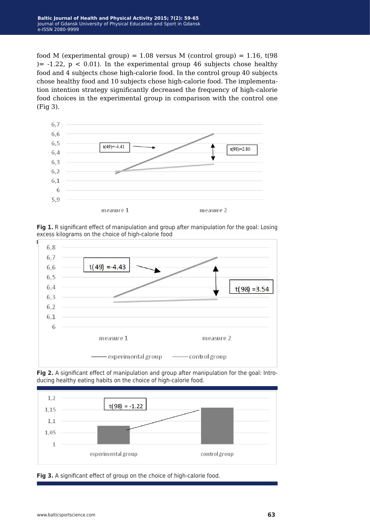food M (experimental group) =  $1.08$  versus M (control group) =  $1.16$ , t(98)  $= -1.22$ ,  $p < 0.01$ ). In the experimental group 46 subjects chose healthy food and 4 subjects chose high-calorie food. In the control group 40 subjects chose healthy food and 10 subjects chose high-calorie food. The implementation intention strategy significantly decreased the frequency of high-calorie food choices in the experimental group in comparison with the control one (Fig 3).







**Fig 2.** A significant effect of manipulation and group after manipulation for the goal: Introducing healthy eating habits on the choice of high-calorie food.



**Fig 3.** A significant effect of group on the choice of high-calorie food.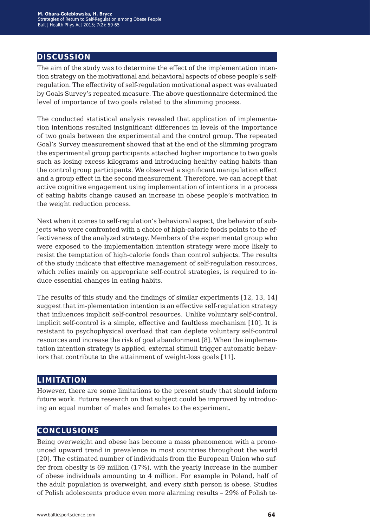# **discussion**

The aim of the study was to determine the effect of the implementation intention strategy on the motivational and behavioral aspects of obese people's selfregulation. The effectivity of self-regulation motivational aspect was evaluated by Goals Survey's repeated measure. The above questionnaire determined the level of importance of two goals related to the slimming process.

The conducted statistical analysis revealed that application of implementation intentions resulted insignificant differences in levels of the importance of two goals between the experimental and the control group. The repeated Goal's Survey measurement showed that at the end of the slimming program the experimental group participants attached higher importance to two goals such as losing excess kilograms and introducing healthy eating habits than the control group participants. We observed a significant manipulation effect and a group effect in the second measurement. Therefore, we can accept that active cognitive engagement using implementation of intentions in a process of eating habits change caused an increase in obese people's motivation in the weight reduction process.

Next when it comes to self-regulation's behavioral aspect, the behavior of subjects who were confronted with a choice of high-calorie foods points to the effectiveness of the analyzed strategy. Members of the experimental group who were exposed to the implementation intention strategy were more likely to resist the temptation of high-calorie foods than control subjects. The results of the study indicate that effective management of self-regulation resources, which relies mainly on appropriate self-control strategies, is required to induce essential changes in eating habits.

The results of this study and the findings of similar experiments [12, 13, 14] suggest that im-plementation intention is an effective self-regulation strategy that influences implicit self-control resources. Unlike voluntary self-control, implicit self-control is a simple, effective and faultless mechanism [10]. It is resistant to psychophysical overload that can deplete voluntary self-control resources and increase the risk of goal abandonment [8]. When the implementation intention strategy is applied, external stimuli trigger automatic behaviors that contribute to the attainment of weight-loss goals [11].

#### **limitation**

However, there are some limitations to the present study that should inform future work. Future research on that subject could be improved by introducing an equal number of males and females to the experiment.

### **conclusions**

Being overweight and obese has become a mass phenomenon with a pronounced upward trend in prevalence in most countries throughout the world [20]. The estimated number of individuals from the European Union who suffer from obesity is 69 million (17%), with the yearly increase in the number of obese individuals amounting to 4 million. For example in Poland, half of the adult population is overweight, and every sixth person is obese. Studies of Polish adolescents produce even more alarming results – 29% of Polish te